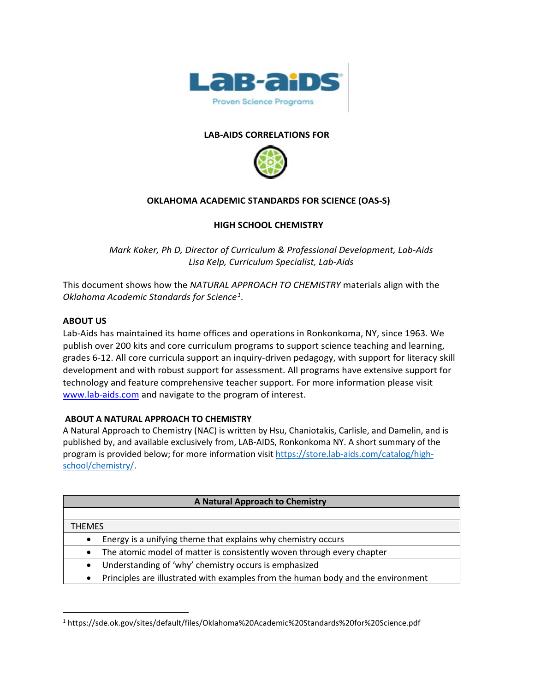

#### **LAB-AIDS CORRELATIONS FOR**



### **OKLAHOMA ACADEMIC STANDARDS FOR SCIENCE (OAS-S)**

### **HIGH SCHOOL CHEMISTRY**

*Mark Koker, Ph D, Director of Curriculum & Professional Development, Lab-Aids Lisa Kelp, Curriculum Specialist, Lab-Aids*

This document shows how the *NATURAL APPROACH TO CHEMISTRY* materials align with the *Oklahoma Academic Standards for Science[1](#page-0-0)* .

#### **ABOUT US**

Lab-Aids has maintained its home offices and operations in Ronkonkoma, NY, since 1963. We publish over 200 kits and core curriculum programs to support science teaching and learning, grades 6-12. All core curricula support an inquiry-driven pedagogy, with support for literacy skill development and with robust support for assessment. All programs have extensive support for technology and feature comprehensive teacher support. For more information please visit [www.lab-aids.com](http://www.lab-aids.com/) and navigate to the program of interest.

#### **ABOUT A NATURAL APPROACH TO CHEMISTRY**

A Natural Approach to Chemistry (NAC) is written by Hsu, Chaniotakis, Carlisle, and Damelin, and is published by, and available exclusively from, LAB-AIDS, Ronkonkoma NY. A short summary of the program is provided below; for more information visi[t https://store.lab-aids.com/catalog/high](https://store.lab-aids.com/catalog/high-school/chemistry/)[school/chemistry/.](https://store.lab-aids.com/catalog/high-school/chemistry/)

| A Natural Approach to Chemistry |                                                                                  |  |  |
|---------------------------------|----------------------------------------------------------------------------------|--|--|
|                                 |                                                                                  |  |  |
| <b>THEMES</b>                   |                                                                                  |  |  |
|                                 | Energy is a unifying theme that explains why chemistry occurs                    |  |  |
| $\bullet$                       | The atomic model of matter is consistently woven through every chapter           |  |  |
|                                 | Understanding of 'why' chemistry occurs is emphasized                            |  |  |
| $\bullet$                       | Principles are illustrated with examples from the human body and the environment |  |  |

<span id="page-0-0"></span><sup>1</sup> https://sde.ok.gov/sites/default/files/Oklahoma%20Academic%20Standards%20for%20Science.pdf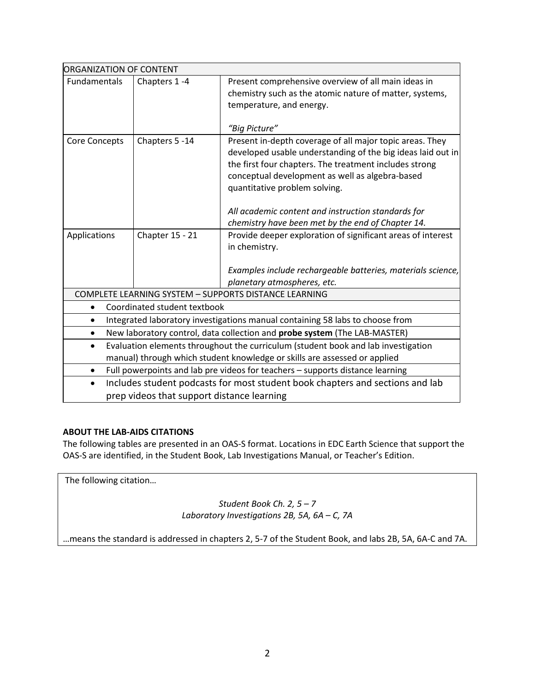| <b>ORGANIZATION OF CONTENT</b>                                                                 |                 |                                                                                  |  |  |  |  |
|------------------------------------------------------------------------------------------------|-----------------|----------------------------------------------------------------------------------|--|--|--|--|
| Fundamentals                                                                                   | Chapters 1-4    | Present comprehensive overview of all main ideas in                              |  |  |  |  |
|                                                                                                |                 | chemistry such as the atomic nature of matter, systems,                          |  |  |  |  |
|                                                                                                |                 | temperature, and energy.                                                         |  |  |  |  |
|                                                                                                |                 |                                                                                  |  |  |  |  |
|                                                                                                |                 | "Big Picture"                                                                    |  |  |  |  |
| <b>Core Concepts</b>                                                                           | Chapters 5 -14  | Present in-depth coverage of all major topic areas. They                         |  |  |  |  |
|                                                                                                |                 | developed usable understanding of the big ideas laid out in                      |  |  |  |  |
|                                                                                                |                 | the first four chapters. The treatment includes strong                           |  |  |  |  |
|                                                                                                |                 | conceptual development as well as algebra-based<br>quantitative problem solving. |  |  |  |  |
|                                                                                                |                 |                                                                                  |  |  |  |  |
|                                                                                                |                 | All academic content and instruction standards for                               |  |  |  |  |
|                                                                                                |                 | chemistry have been met by the end of Chapter 14.                                |  |  |  |  |
| Applications                                                                                   | Chapter 15 - 21 | Provide deeper exploration of significant areas of interest                      |  |  |  |  |
|                                                                                                |                 | in chemistry.                                                                    |  |  |  |  |
|                                                                                                |                 |                                                                                  |  |  |  |  |
|                                                                                                |                 | Examples include rechargeable batteries, materials science,                      |  |  |  |  |
|                                                                                                |                 | planetary atmospheres, etc.                                                      |  |  |  |  |
|                                                                                                |                 | COMPLETE LEARNING SYSTEM - SUPPORTS DISTANCE LEARNING                            |  |  |  |  |
| Coordinated student textbook                                                                   |                 |                                                                                  |  |  |  |  |
| Integrated laboratory investigations manual containing 58 labs to choose from                  |                 |                                                                                  |  |  |  |  |
| New laboratory control, data collection and probe system (The LAB-MASTER)                      |                 |                                                                                  |  |  |  |  |
| Evaluation elements throughout the curriculum (student book and lab investigation<br>$\bullet$ |                 |                                                                                  |  |  |  |  |
| manual) through which student knowledge or skills are assessed or applied                      |                 |                                                                                  |  |  |  |  |
| Full powerpoints and lab pre videos for teachers - supports distance learning<br>$\bullet$     |                 |                                                                                  |  |  |  |  |
| Includes student podcasts for most student book chapters and sections and lab<br>$\bullet$     |                 |                                                                                  |  |  |  |  |
| prep videos that support distance learning                                                     |                 |                                                                                  |  |  |  |  |

## **ABOUT THE LAB-AIDS CITATIONS**

The following tables are presented in an OAS-S format. Locations in EDC Earth Science that support the OAS-S are identified, in the Student Book, Lab Investigations Manual, or Teacher's Edition.

The following citation…

*Student Book Ch. 2, 5 – 7 Laboratory Investigations 2B, 5A, 6A – C, 7A*

…means the standard is addressed in chapters 2, 5-7 of the Student Book, and labs 2B, 5A, 6A-C and 7A.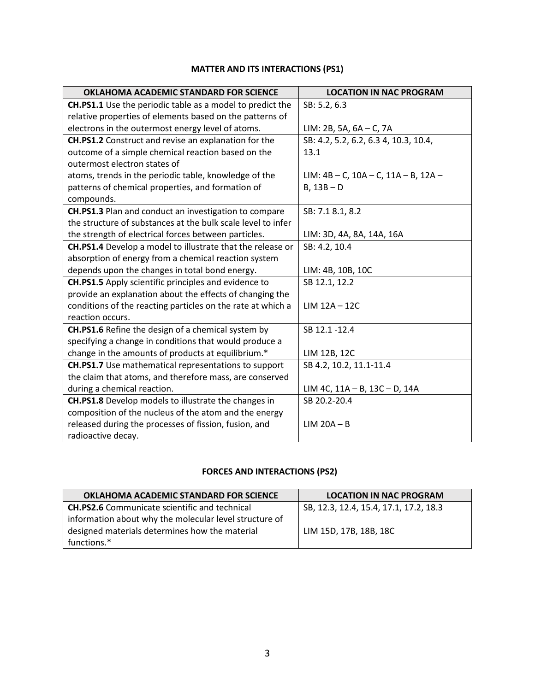# **MATTER AND ITS INTERACTIONS (PS1)**

| <b>OKLAHOMA ACADEMIC STANDARD FOR SCIENCE</b>                    | <b>LOCATION IN NAC PROGRAM</b>                  |
|------------------------------------------------------------------|-------------------------------------------------|
| <b>CH.PS1.1</b> Use the periodic table as a model to predict the | SB: 5.2, 6.3                                    |
| relative properties of elements based on the patterns of         |                                                 |
| electrons in the outermost energy level of atoms.                | $LIM: 2B, 5A, 6A - C, 7A$                       |
| CH.PS1.2 Construct and revise an explanation for the             | SB: 4.2, 5.2, 6.2, 6.3 4, 10.3, 10.4,           |
| outcome of a simple chemical reaction based on the               | 13.1                                            |
| outermost electron states of                                     |                                                 |
| atoms, trends in the periodic table, knowledge of the            | $LIM: 4B - C$ , $10A - C$ , $11A - B$ , $12A -$ |
| patterns of chemical properties, and formation of                | $B, 13B - D$                                    |
| compounds.                                                       |                                                 |
| CH.PS1.3 Plan and conduct an investigation to compare            | SB: 7.1 8.1, 8.2                                |
| the structure of substances at the bulk scale level to infer     |                                                 |
| the strength of electrical forces between particles.             | LIM: 3D, 4A, 8A, 14A, 16A                       |
| CH.PS1.4 Develop a model to illustrate that the release or       | SB: 4.2, 10.4                                   |
| absorption of energy from a chemical reaction system             |                                                 |
| depends upon the changes in total bond energy.                   | LIM: 4B, 10B, 10C                               |
| CH.PS1.5 Apply scientific principles and evidence to             | SB 12.1, 12.2                                   |
| provide an explanation about the effects of changing the         |                                                 |
| conditions of the reacting particles on the rate at which a      | $LIM$ 12A - 12C                                 |
| reaction occurs.                                                 |                                                 |
| CH.PS1.6 Refine the design of a chemical system by               | SB 12.1-12.4                                    |
| specifying a change in conditions that would produce a           |                                                 |
| change in the amounts of products at equilibrium.*               | LIM 12B, 12C                                    |
| CH.PS1.7 Use mathematical representations to support             | SB 4.2, 10.2, 11.1-11.4                         |
| the claim that atoms, and therefore mass, are conserved          |                                                 |
| during a chemical reaction.                                      | $LIM$ 4C, $11A - B$ , $13C - D$ , $14A$         |
| CH.PS1.8 Develop models to illustrate the changes in             | SB 20.2-20.4                                    |
| composition of the nucleus of the atom and the energy            |                                                 |
| released during the processes of fission, fusion, and            | $LIM$ 20 $A - B$                                |
| radioactive decay.                                               |                                                 |

## **FORCES AND INTERACTIONS (PS2)**

| OKLAHOMA ACADEMIC STANDARD FOR SCIENCE                 | <b>LOCATION IN NAC PROGRAM</b>         |
|--------------------------------------------------------|----------------------------------------|
| <b>CH.PS2.6</b> Communicate scientific and technical   | SB, 12.3, 12.4, 15.4, 17.1, 17.2, 18.3 |
| information about why the molecular level structure of |                                        |
| designed materials determines how the material         | LIM 15D, 17B, 18B, 18C                 |
| functions.*                                            |                                        |